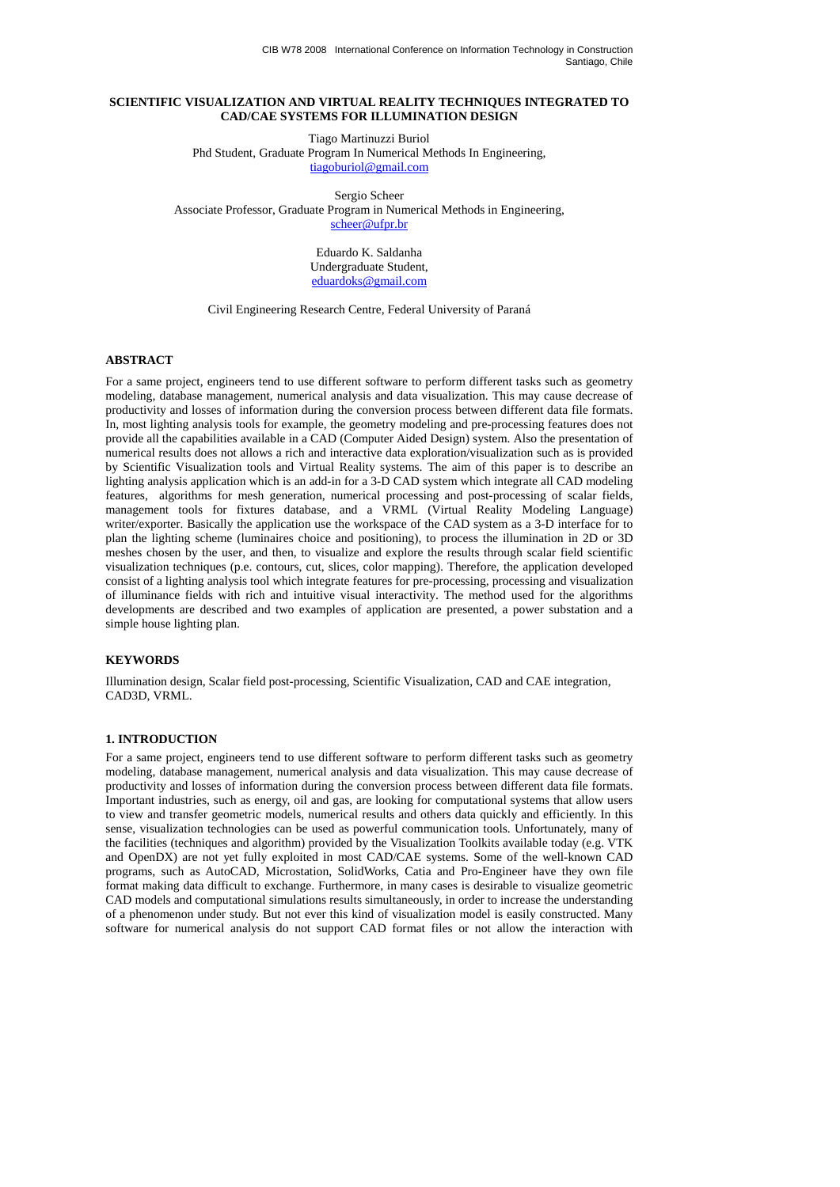## **SCIENTIFIC VISUALIZATION AND VIRTUAL REALITY TECHNIQUES INTEGRATED TO CAD/CAE SYSTEMS FOR ILLUMINATION DESIGN**

Tiago Martinuzzi Buriol Phd Student, Graduate Program In Numerical Methods In Engineering, tiagoburiol@gmail.com

Sergio Scheer Associate Professor, Graduate Program in Numerical Methods in Engineering, scheer@ufpr.br

> Eduardo K. Saldanha Undergraduate Student, eduardoks@gmail.com

Civil Engineering Research Centre, Federal University of Paraná

### **ABSTRACT**

For a same project, engineers tend to use different software to perform different tasks such as geometry modeling, database management, numerical analysis and data visualization. This may cause decrease of productivity and losses of information during the conversion process between different data file formats. In, most lighting analysis tools for example, the geometry modeling and pre-processing features does not provide all the capabilities available in a CAD (Computer Aided Design) system. Also the presentation of numerical results does not allows a rich and interactive data exploration/visualization such as is provided by Scientific Visualization tools and Virtual Reality systems. The aim of this paper is to describe an lighting analysis application which is an add-in for a 3-D CAD system which integrate all CAD modeling features, algorithms for mesh generation, numerical processing and post-processing of scalar fields, management tools for fixtures database, and a VRML (Virtual Reality Modeling Language) writer/exporter. Basically the application use the workspace of the CAD system as a 3-D interface for to plan the lighting scheme (luminaires choice and positioning), to process the illumination in 2D or 3D meshes chosen by the user, and then, to visualize and explore the results through scalar field scientific visualization techniques (p.e. contours, cut, slices, color mapping). Therefore, the application developed consist of a lighting analysis tool which integrate features for pre-processing, processing and visualization of illuminance fields with rich and intuitive visual interactivity. The method used for the algorithms developments are described and two examples of application are presented, a power substation and a simple house lighting plan.

### **KEYWORDS**

Illumination design, Scalar field post-processing, Scientific Visualization, CAD and CAE integration, CAD3D, VRML.

### **1. INTRODUCTION**

For a same project, engineers tend to use different software to perform different tasks such as geometry modeling, database management, numerical analysis and data visualization. This may cause decrease of productivity and losses of information during the conversion process between different data file formats. Important industries, such as energy, oil and gas, are looking for computational systems that allow users to view and transfer geometric models, numerical results and others data quickly and efficiently. In this sense, visualization technologies can be used as powerful communication tools. Unfortunately, many of the facilities (techniques and algorithm) provided by the Visualization Toolkits available today (e.g. VTK and OpenDX) are not yet fully exploited in most CAD/CAE systems. Some of the well-known CAD programs, such as AutoCAD, Microstation, SolidWorks, Catia and Pro-Engineer have they own file format making data difficult to exchange. Furthermore, in many cases is desirable to visualize geometric CAD models and computational simulations results simultaneously, in order to increase the understanding of a phenomenon under study. But not ever this kind of visualization model is easily constructed. Many software for numerical analysis do not support CAD format files or not allow the interaction with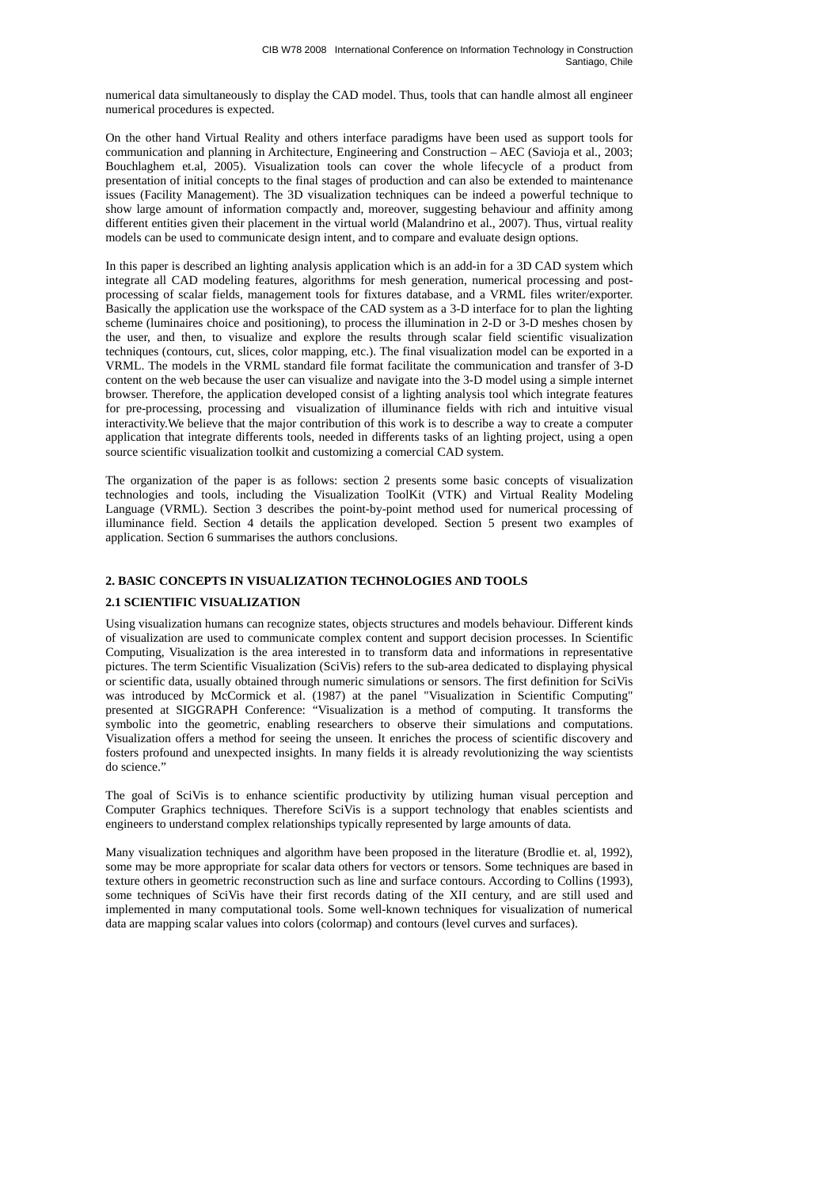numerical data simultaneously to display the CAD model. Thus, tools that can handle almost all engineer numerical procedures is expected.

On the other hand Virtual Reality and others interface paradigms have been used as support tools for communication and planning in Architecture, Engineering and Construction – AEC (Savioja et al., 2003; Bouchlaghem et.al, 2005). Visualization tools can cover the whole lifecycle of a product from presentation of initial concepts to the final stages of production and can also be extended to maintenance issues (Facility Management). The 3D visualization techniques can be indeed a powerful technique to show large amount of information compactly and, moreover, suggesting behaviour and affinity among different entities given their placement in the virtual world (Malandrino et al., 2007). Thus, virtual reality models can be used to communicate design intent, and to compare and evaluate design options.

In this paper is described an lighting analysis application which is an add-in for a 3D CAD system which integrate all CAD modeling features, algorithms for mesh generation, numerical processing and postprocessing of scalar fields, management tools for fixtures database, and a VRML files writer/exporter. Basically the application use the workspace of the CAD system as a 3-D interface for to plan the lighting scheme (luminaires choice and positioning), to process the illumination in 2-D or 3-D meshes chosen by the user, and then, to visualize and explore the results through scalar field scientific visualization techniques (contours, cut, slices, color mapping, etc.). The final visualization model can be exported in a VRML. The models in the VRML standard file format facilitate the communication and transfer of 3-D content on the web because the user can visualize and navigate into the 3-D model using a simple internet browser. Therefore, the application developed consist of a lighting analysis tool which integrate features for pre-processing, processing and visualization of illuminance fields with rich and intuitive visual interactivity.We believe that the major contribution of this work is to describe a way to create a computer application that integrate differents tools, needed in differents tasks of an lighting project, using a open source scientific visualization toolkit and customizing a comercial CAD system.

The organization of the paper is as follows: section 2 presents some basic concepts of visualization technologies and tools, including the Visualization ToolKit (VTK) and Virtual Reality Modeling Language (VRML). Section 3 describes the point-by-point method used for numerical processing of illuminance field. Section 4 details the application developed. Section 5 present two examples of application. Section 6 summarises the authors conclusions.

### **2. BASIC CONCEPTS IN VISUALIZATION TECHNOLOGIES AND TOOLS**

### **2.1 SCIENTIFIC VISUALIZATION**

Using visualization humans can recognize states, objects structures and models behaviour. Different kinds of visualization are used to communicate complex content and support decision processes. In Scientific Computing, Visualization is the area interested in to transform data and informations in representative pictures. The term Scientific Visualization (SciVis) refers to the sub-area dedicated to displaying physical or scientific data, usually obtained through numeric simulations or sensors. The first definition for SciVis was introduced by McCormick et al. (1987) at the panel "Visualization in Scientific Computing" presented at SIGGRAPH Conference: "Visualization is a method of computing. It transforms the symbolic into the geometric, enabling researchers to observe their simulations and computations. Visualization offers a method for seeing the unseen. It enriches the process of scientific discovery and fosters profound and unexpected insights. In many fields it is already revolutionizing the way scientists do science."

The goal of SciVis is to enhance scientific productivity by utilizing human visual perception and Computer Graphics techniques. Therefore SciVis is a support technology that enables scientists and engineers to understand complex relationships typically represented by large amounts of data.

Many visualization techniques and algorithm have been proposed in the literature (Brodlie et. al, 1992), some may be more appropriate for scalar data others for vectors or tensors. Some techniques are based in texture others in geometric reconstruction such as line and surface contours. According to Collins (1993), some techniques of SciVis have their first records dating of the XII century, and are still used and implemented in many computational tools. Some well-known techniques for visualization of numerical data are mapping scalar values into colors (colormap) and contours (level curves and surfaces).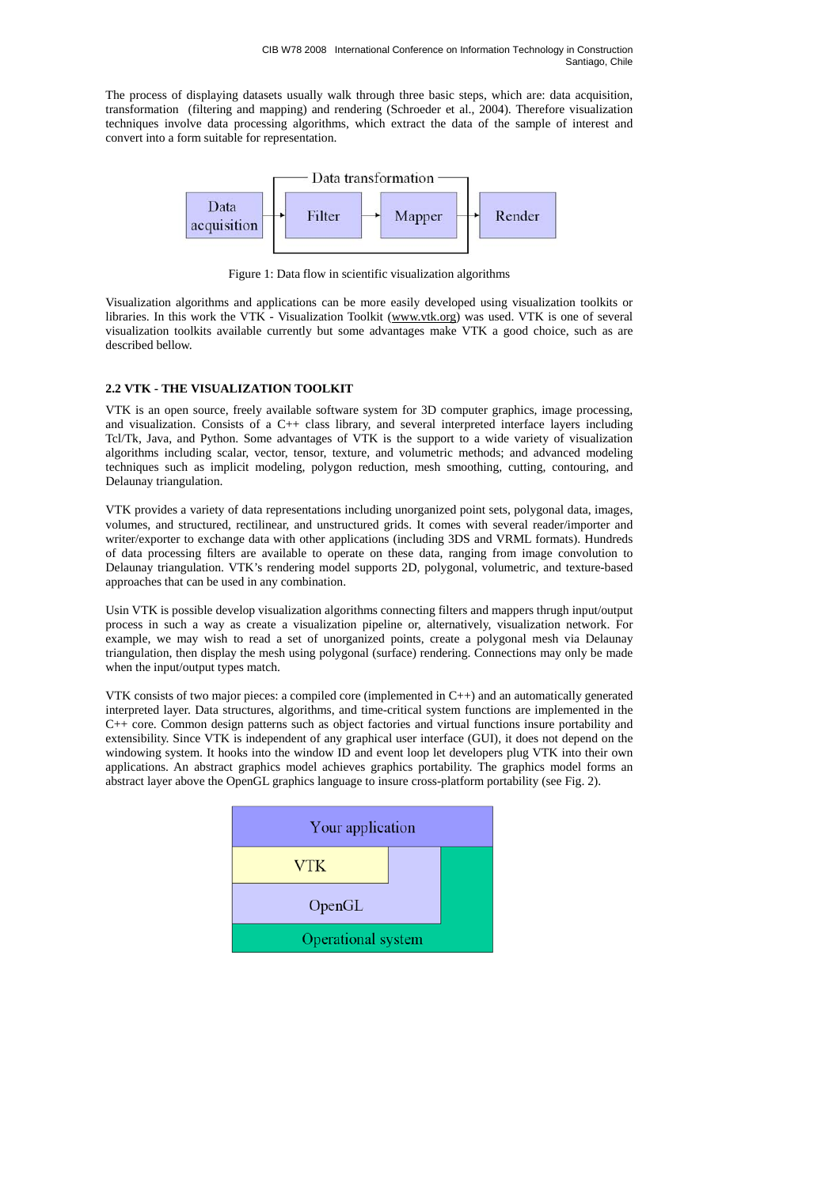The process of displaying datasets usually walk through three basic steps, which are: data acquisition, transformation (filtering and mapping) and rendering (Schroeder et al., 2004). Therefore visualization techniques involve data processing algorithms, which extract the data of the sample of interest and convert into a form suitable for representation.



Figure 1: Data flow in scientific visualization algorithms

Visualization algorithms and applications can be more easily developed using visualization toolkits or libraries. In this work the VTK - Visualization Toolkit (www.vtk.org) was used. VTK is one of several visualization toolkits available currently but some advantages make VTK a good choice, such as are described bellow.

# **2.2 VTK - THE VISUALIZATION TOOLKIT**

VTK is an open source, freely available software system for 3D computer graphics, image processing, and visualization. Consists of a C++ class library, and several interpreted interface layers including Tcl/Tk, Java, and Python. Some advantages of VTK is the support to a wide variety of visualization algorithms including scalar, vector, tensor, texture, and volumetric methods; and advanced modeling techniques such as implicit modeling, polygon reduction, mesh smoothing, cutting, contouring, and Delaunay triangulation.

VTK provides a variety of data representations including unorganized point sets, polygonal data, images, volumes, and structured, rectilinear, and unstructured grids. It comes with several reader/importer and writer/exporter to exchange data with other applications (including 3DS and VRML formats). Hundreds of data processing filters are available to operate on these data, ranging from image convolution to Delaunay triangulation. VTK's rendering model supports 2D, polygonal, volumetric, and texture-based approaches that can be used in any combination.

Usin VTK is possible develop visualization algorithms connecting filters and mappers thrugh input/output process in such a way as create a visualization pipeline or, alternatively, visualization network. For example, we may wish to read a set of unorganized points, create a polygonal mesh via Delaunay triangulation, then display the mesh using polygonal (surface) rendering. Connections may only be made when the input/output types match.

VTK consists of two major pieces: a compiled core (implemented in C++) and an automatically generated interpreted layer. Data structures, algorithms, and time-critical system functions are implemented in the C++ core. Common design patterns such as object factories and virtual functions insure portability and extensibility. Since VTK is independent of any graphical user interface (GUI), it does not depend on the windowing system. It hooks into the window ID and event loop let developers plug VTK into their own applications. An abstract graphics model achieves graphics portability. The graphics model forms an abstract layer above the OpenGL graphics language to insure cross-platform portability (see Fig. 2).

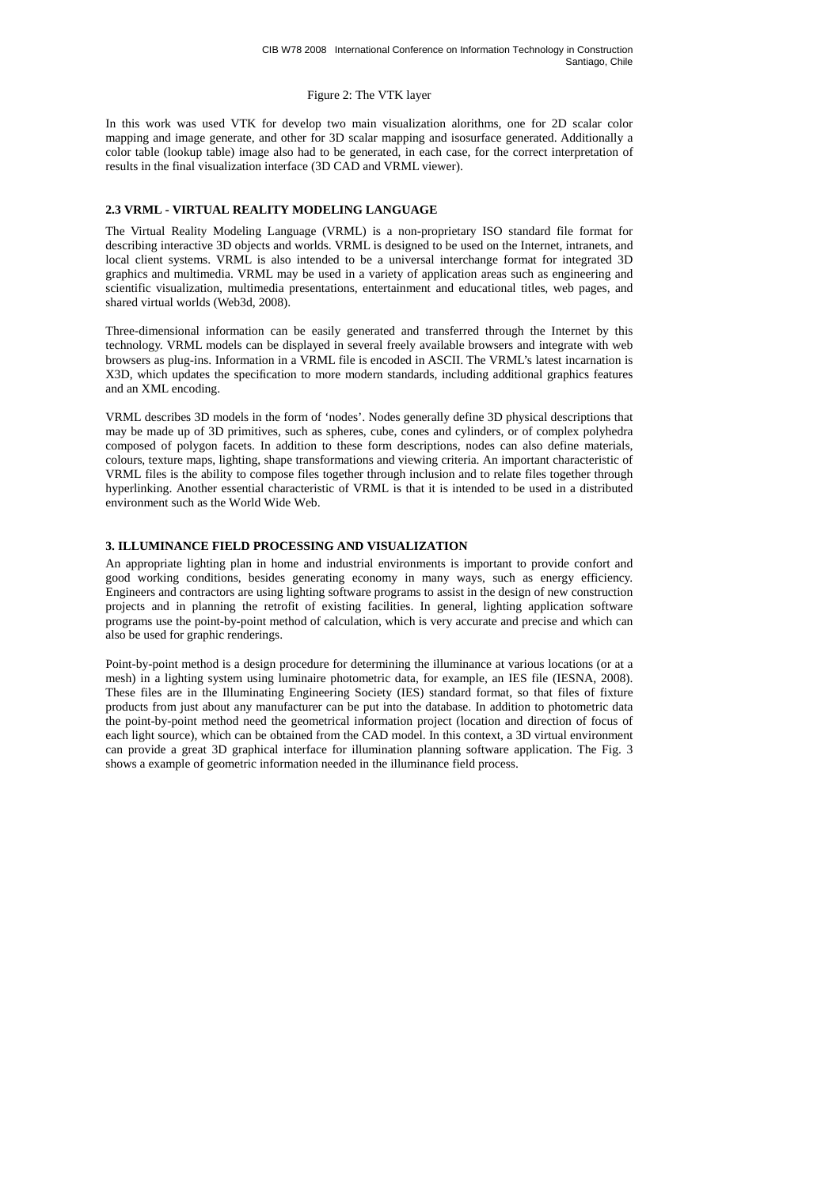### Figure 2: The VTK layer

In this work was used VTK for develop two main visualization alorithms, one for 2D scalar color mapping and image generate, and other for 3D scalar mapping and isosurface generated. Additionally a color table (lookup table) image also had to be generated, in each case, for the correct interpretation of results in the final visualization interface (3D CAD and VRML viewer).

# **2.3 VRML - VIRTUAL REALITY MODELING LANGUAGE**

The Virtual Reality Modeling Language (VRML) is a non-proprietary ISO standard file format for describing interactive 3D objects and worlds. VRML is designed to be used on the Internet, intranets, and local client systems. VRML is also intended to be a universal interchange format for integrated 3D graphics and multimedia. VRML may be used in a variety of application areas such as engineering and scientific visualization, multimedia presentations, entertainment and educational titles, web pages, and shared virtual worlds (Web3d, 2008).

Three-dimensional information can be easily generated and transferred through the Internet by this technology. VRML models can be displayed in several freely available browsers and integrate with web browsers as plug-ins. Information in a VRML file is encoded in ASCII. The VRML's latest incarnation is X3D, which updates the specification to more modern standards, including additional graphics features and an XML encoding.

VRML describes 3D models in the form of 'nodes'. Nodes generally define 3D physical descriptions that may be made up of 3D primitives, such as spheres, cube, cones and cylinders, or of complex polyhedra composed of polygon facets. In addition to these form descriptions, nodes can also define materials, colours, texture maps, lighting, shape transformations and viewing criteria. An important characteristic of VRML files is the ability to compose files together through inclusion and to relate files together through hyperlinking. Another essential characteristic of VRML is that it is intended to be used in a distributed environment such as the World Wide Web.

# **3. ILLUMINANCE FIELD PROCESSING AND VISUALIZATION**

An appropriate lighting plan in home and industrial environments is important to provide confort and good working conditions, besides generating economy in many ways, such as energy efficiency. Engineers and contractors are using lighting software programs to assist in the design of new construction projects and in planning the retrofit of existing facilities. In general, lighting application software programs use the point-by-point method of calculation, which is very accurate and precise and which can also be used for graphic renderings.

Point-by-point method is a design procedure for determining the illuminance at various locations (or at a mesh) in a lighting system using luminaire photometric data, for example, an IES file (IESNA, 2008). These files are in the Illuminating Engineering Society (IES) standard format, so that files of fixture products from just about any manufacturer can be put into the database. In addition to photometric data the point-by-point method need the geometrical information project (location and direction of focus of each light source), which can be obtained from the CAD model. In this context, a 3D virtual environment can provide a great 3D graphical interface for illumination planning software application. The Fig. 3 shows a example of geometric information needed in the illuminance field process.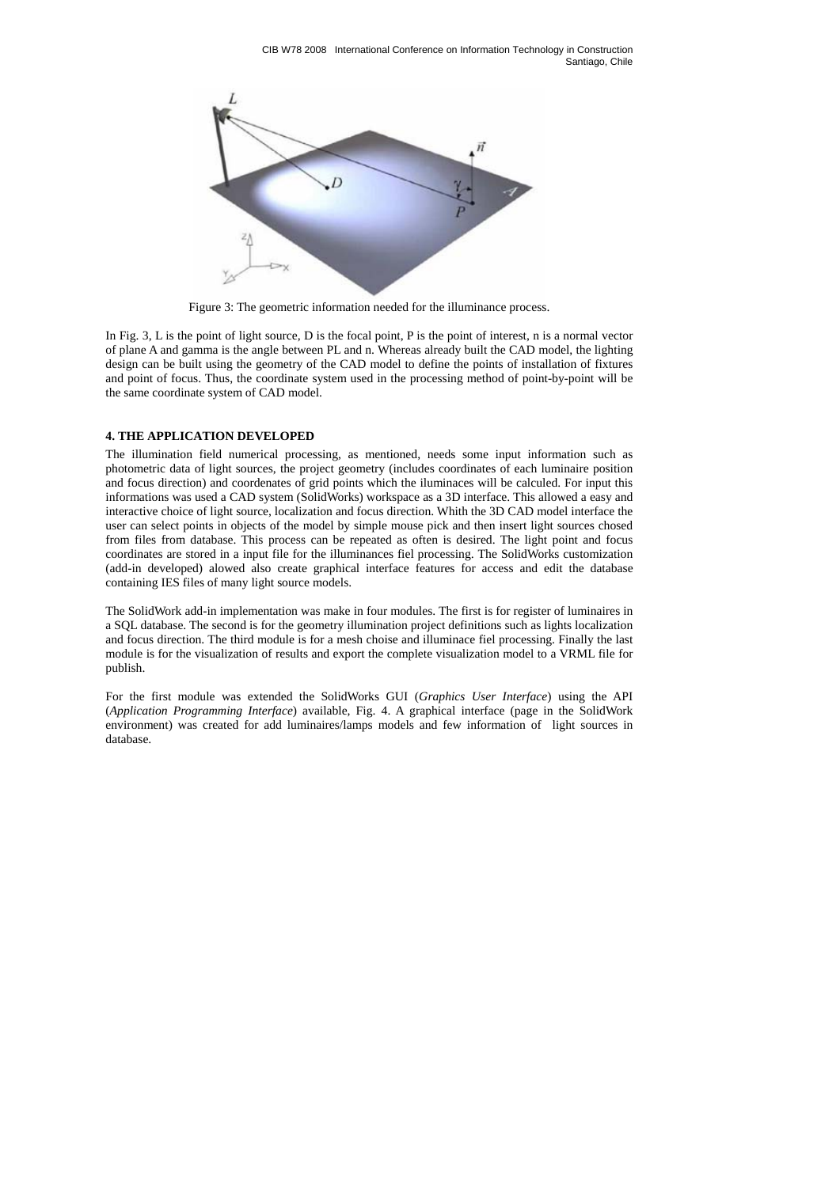

Figure 3: The geometric information needed for the illuminance process.

In Fig. 3, L is the point of light source, D is the focal point, P is the point of interest, n is a normal vector of plane A and gamma is the angle between PL and n. Whereas already built the CAD model, the lighting design can be built using the geometry of the CAD model to define the points of installation of fixtures and point of focus. Thus, the coordinate system used in the processing method of point-by-point will be the same coordinate system of CAD model.

### **4. THE APPLICATION DEVELOPED**

The illumination field numerical processing, as mentioned, needs some input information such as photometric data of light sources, the project geometry (includes coordinates of each luminaire position and focus direction) and coordenates of grid points which the iluminaces will be calculed. For input this informations was used a CAD system (SolidWorks) workspace as a 3D interface. This allowed a easy and interactive choice of light source, localization and focus direction. Whith the 3D CAD model interface the user can select points in objects of the model by simple mouse pick and then insert light sources chosed from files from database. This process can be repeated as often is desired. The light point and focus coordinates are stored in a input file for the illuminances fiel processing. The SolidWorks customization (add-in developed) alowed also create graphical interface features for access and edit the database containing IES files of many light source models.

The SolidWork add-in implementation was make in four modules. The first is for register of luminaires in a SQL database. The second is for the geometry illumination project definitions such as lights localization and focus direction. The third module is for a mesh choise and illuminace fiel processing. Finally the last module is for the visualization of results and export the complete visualization model to a VRML file for publish.

For the first module was extended the SolidWorks GUI (*Graphics User Interface*) using the API (*Application Programming Interface*) available, Fig. 4. A graphical interface (page in the SolidWork environment) was created for add luminaires/lamps models and few information of light sources in database.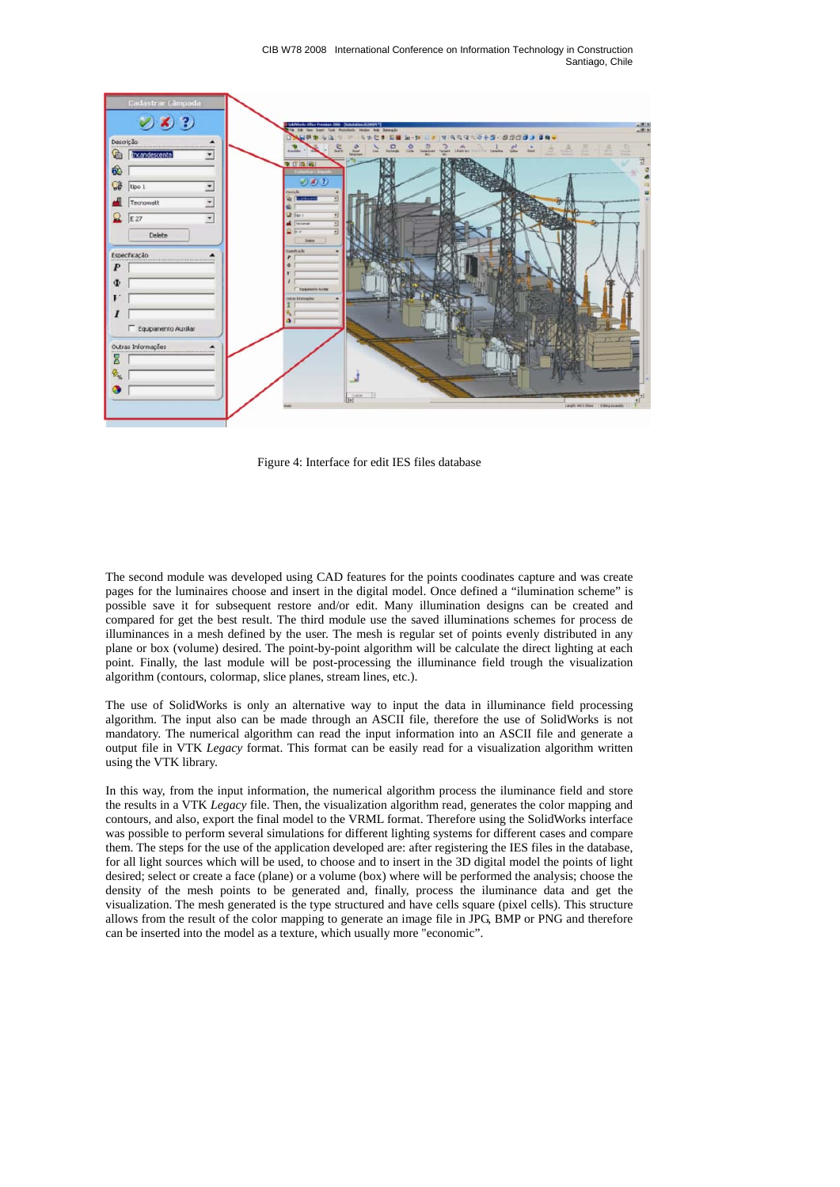

Figure 4: Interface for edit IES files database

The second module was developed using CAD features for the points coodinates capture and was create pages for the luminaires choose and insert in the digital model. Once defined a "ilumination scheme" is possible save it for subsequent restore and/or edit. Many illumination designs can be created and compared for get the best result. The third module use the saved illuminations schemes for process de illuminances in a mesh defined by the user. The mesh is regular set of points evenly distributed in any plane or box (volume) desired. The point-by-point algorithm will be calculate the direct lighting at each point. Finally, the last module will be post-processing the illuminance field trough the visualization algorithm (contours, colormap, slice planes, stream lines, etc.).

The use of SolidWorks is only an alternative way to input the data in illuminance field processing algorithm. The input also can be made through an ASCII file, therefore the use of SolidWorks is not mandatory. The numerical algorithm can read the input information into an ASCII file and generate a output file in VTK *Legacy* format. This format can be easily read for a visualization algorithm written using the VTK library.

In this way, from the input information, the numerical algorithm process the iluminance field and store the results in a VTK *Legacy* file. Then, the visualization algorithm read, generates the color mapping and contours, and also, export the final model to the VRML format. Therefore using the SolidWorks interface was possible to perform several simulations for different lighting systems for different cases and compare them. The steps for the use of the application developed are: after registering the IES files in the database, for all light sources which will be used, to choose and to insert in the 3D digital model the points of light desired; select or create a face (plane) or a volume (box) where will be performed the analysis; choose the density of the mesh points to be generated and, finally, process the iluminance data and get the visualization. The mesh generated is the type structured and have cells square (pixel cells). This structure allows from the result of the color mapping to generate an image file in JPG, BMP or PNG and therefore can be inserted into the model as a texture, which usually more "economic".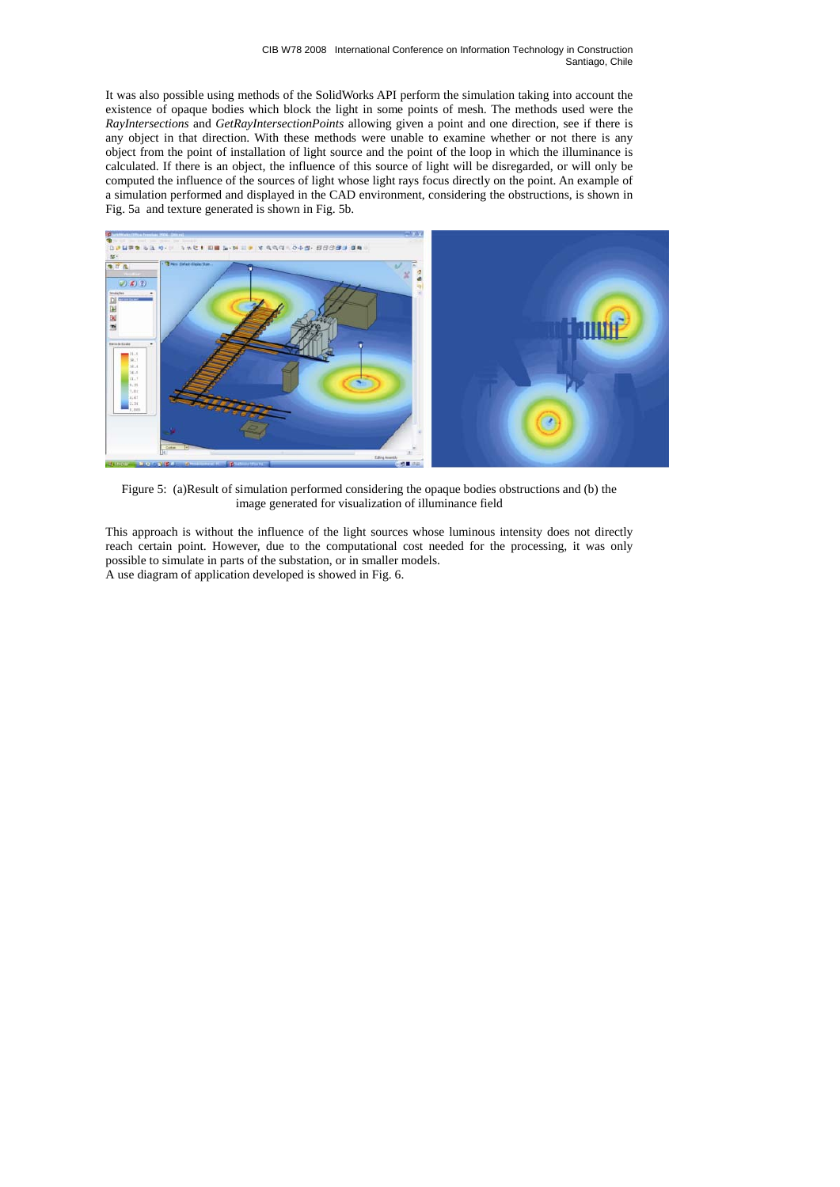It was also possible using methods of the SolidWorks API perform the simulation taking into account the existence of opaque bodies which block the light in some points of mesh. The methods used were the *RayIntersections* and *GetRayIntersectionPoints* allowing given a point and one direction, see if there is any object in that direction. With these methods were unable to examine whether or not there is any object from the point of installation of light source and the point of the loop in which the illuminance is calculated. If there is an object, the influence of this source of light will be disregarded, or will only be computed the influence of the sources of light whose light rays focus directly on the point. An example of a simulation performed and displayed in the CAD environment, considering the obstructions, is shown in Fig. 5a and texture generated is shown in Fig. 5b.



Figure 5: (a)Result of simulation performed considering the opaque bodies obstructions and (b) the image generated for visualization of illuminance field

This approach is without the influence of the light sources whose luminous intensity does not directly reach certain point. However, due to the computational cost needed for the processing, it was only possible to simulate in parts of the substation, or in smaller models. A use diagram of application developed is showed in Fig. 6.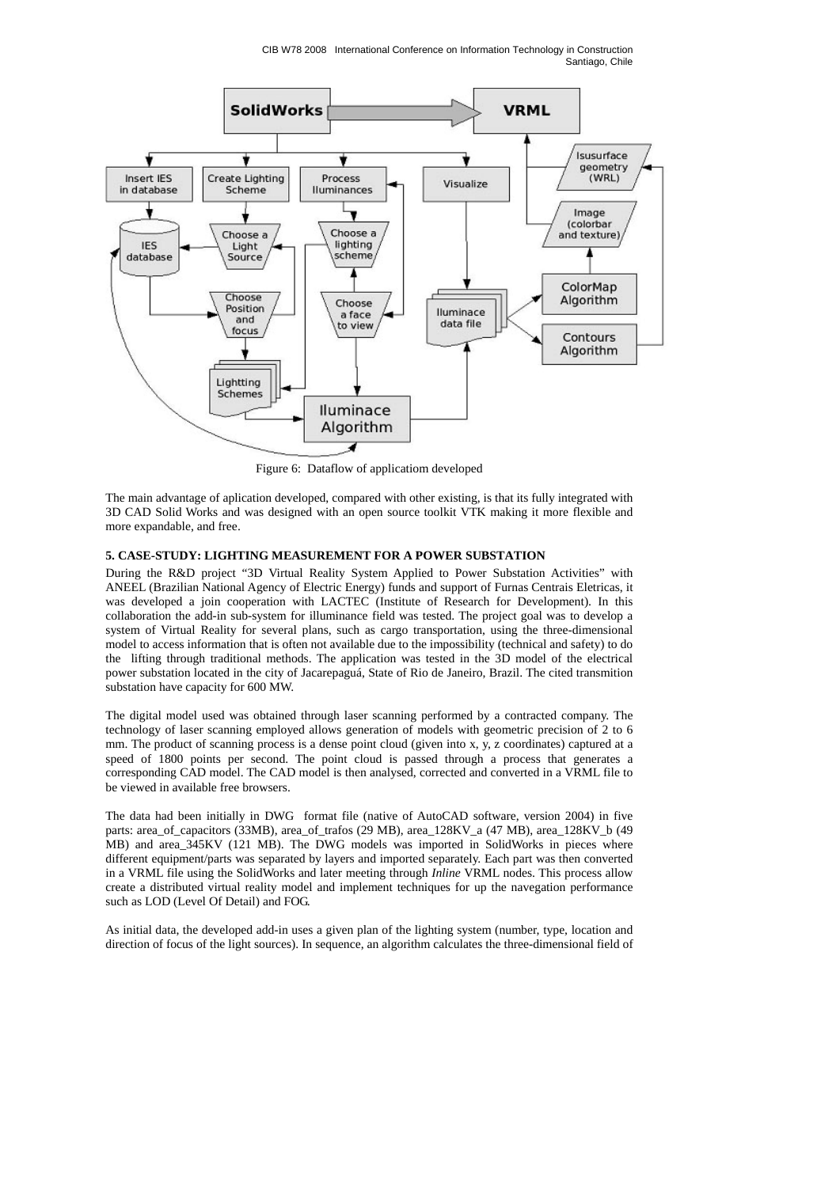CIB W78 2008 International Conference on Information Technology in Construction Santiago, Chile



Figure 6: Dataflow of applicatiom developed

The main advantage of aplication developed, compared with other existing, is that its fully integrated with 3D CAD Solid Works and was designed with an open source toolkit VTK making it more flexible and more expandable, and free.

## **5. CASE-STUDY: LIGHTING MEASUREMENT FOR A POWER SUBSTATION**

During the R&D project "3D Virtual Reality System Applied to Power Substation Activities" with ANEEL (Brazilian National Agency of Electric Energy) funds and support of Furnas Centrais Eletricas, it was developed a join cooperation with LACTEC (Institute of Research for Development). In this collaboration the add-in sub-system for illuminance field was tested. The project goal was to develop a system of Virtual Reality for several plans, such as cargo transportation, using the three-dimensional model to access information that is often not available due to the impossibility (technical and safety) to do the lifting through traditional methods. The application was tested in the 3D model of the electrical power substation located in the city of Jacarepaguá, State of Rio de Janeiro, Brazil. The cited transmition substation have capacity for 600 MW.

The digital model used was obtained through laser scanning performed by a contracted company. The technology of laser scanning employed allows generation of models with geometric precision of 2 to 6 mm. The product of scanning process is a dense point cloud (given into x, y, z coordinates) captured at a speed of 1800 points per second. The point cloud is passed through a process that generates a corresponding CAD model. The CAD model is then analysed, corrected and converted in a VRML file to be viewed in available free browsers.

The data had been initially in DWG format file (native of AutoCAD software, version 2004) in five parts: area\_of\_capacitors (33MB), area\_of\_trafos (29 MB), area\_128KV\_a (47 MB), area\_128KV\_b (49 MB) and area\_345KV (121 MB). The DWG models was imported in SolidWorks in pieces where different equipment/parts was separated by layers and imported separately. Each part was then converted in a VRML file using the SolidWorks and later meeting through *Inline* VRML nodes. This process allow create a distributed virtual reality model and implement techniques for up the navegation performance such as LOD (Level Of Detail) and FOG.

As initial data, the developed add-in uses a given plan of the lighting system (number, type, location and direction of focus of the light sources). In sequence, an algorithm calculates the three-dimensional field of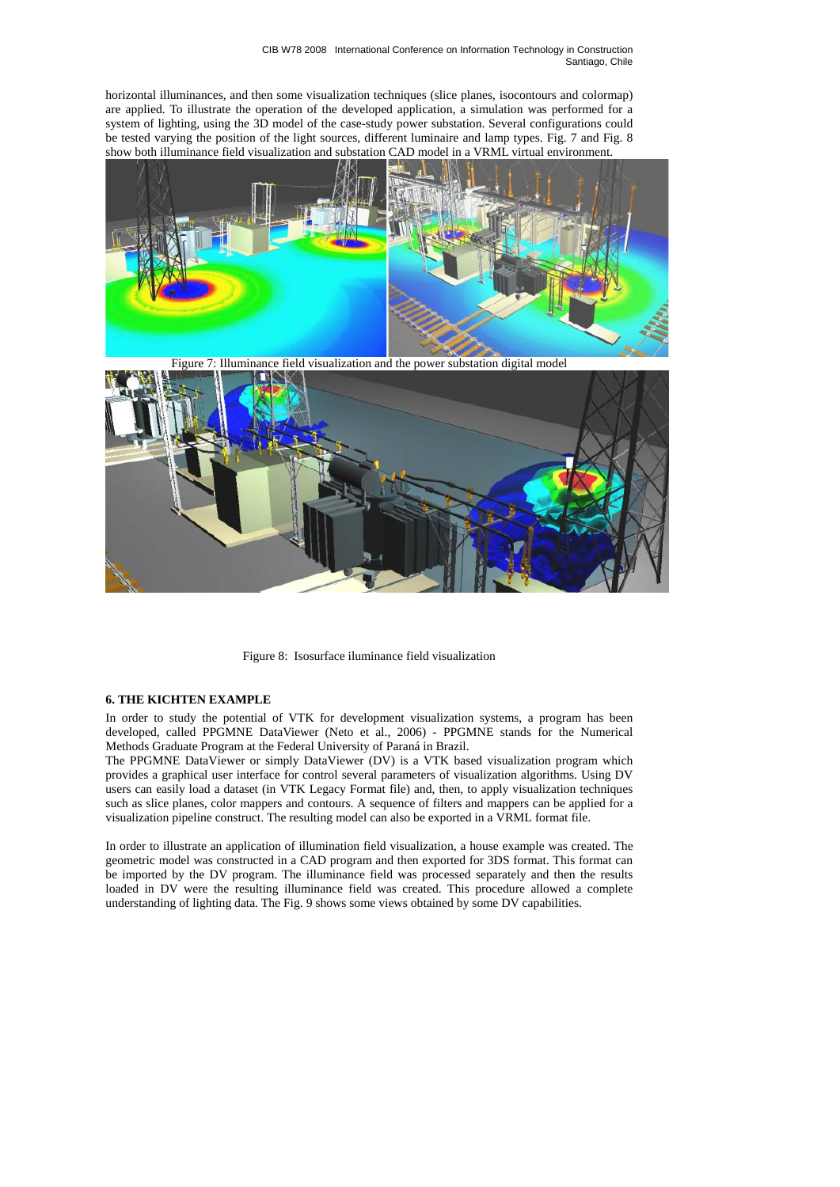horizontal illuminances, and then some visualization techniques (slice planes, isocontours and colormap) are applied. To illustrate the operation of the developed application, a simulation was performed for a system of lighting, using the 3D model of the case-study power substation. Several configurations could be tested varying the position of the light sources, different luminaire and lamp types. Fig. 7 and Fig. 8 show both illuminance field visualization and substation CAD model in a VRML virtual environment.



Figure 8: Isosurface iluminance field visualization

### **6. THE KICHTEN EXAMPLE**

In order to study the potential of VTK for development visualization systems, a program has been developed, called PPGMNE DataViewer (Neto et al., 2006) - PPGMNE stands for the Numerical Methods Graduate Program at the Federal University of Paraná in Brazil.

The PPGMNE DataViewer or simply DataViewer (DV) is a VTK based visualization program which provides a graphical user interface for control several parameters of visualization algorithms. Using DV users can easily load a dataset (in VTK Legacy Format file) and, then, to apply visualization techniques such as slice planes, color mappers and contours. A sequence of filters and mappers can be applied for a visualization pipeline construct. The resulting model can also be exported in a VRML format file.

In order to illustrate an application of illumination field visualization, a house example was created. The geometric model was constructed in a CAD program and then exported for 3DS format. This format can be imported by the DV program. The illuminance field was processed separately and then the results loaded in DV were the resulting illuminance field was created. This procedure allowed a complete understanding of lighting data. The Fig. 9 shows some views obtained by some DV capabilities.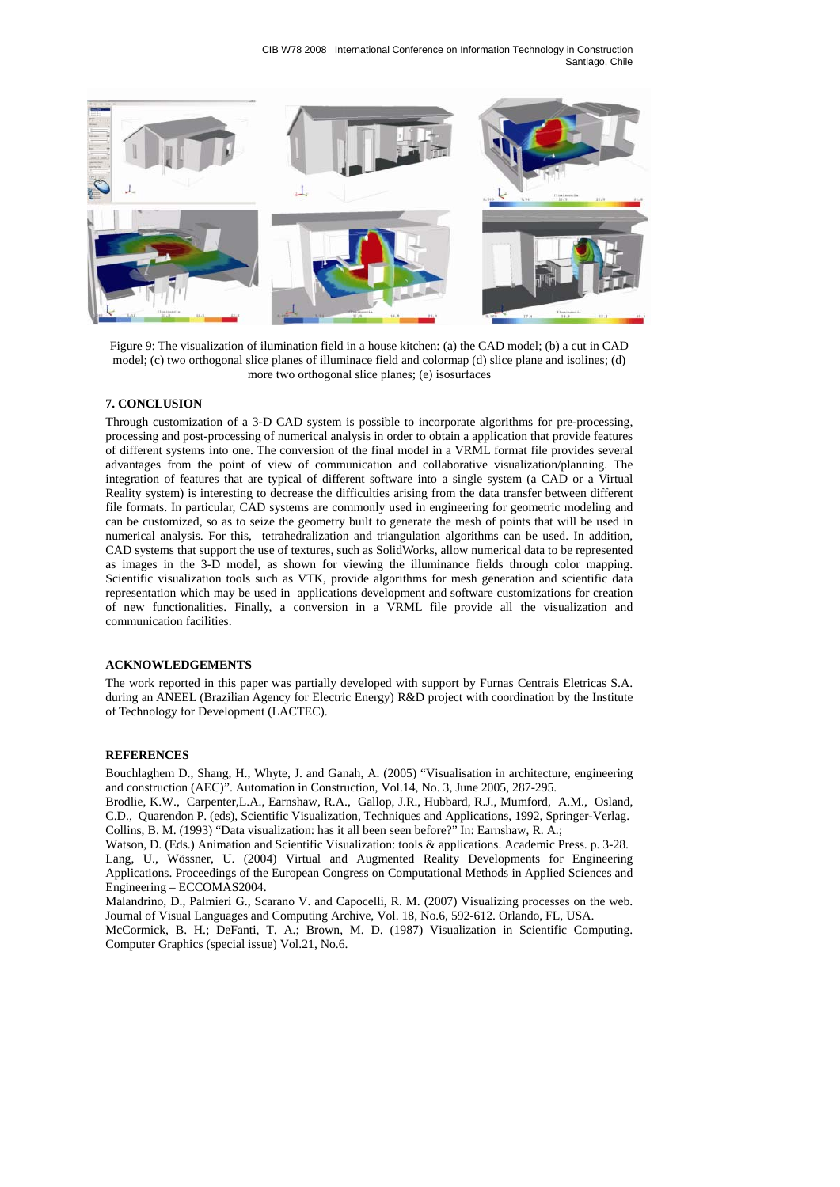CIB W78 2008 International Conference on Information Technology in Construction Santiago, Chile



Figure 9: The visualization of ilumination field in a house kitchen: (a) the CAD model; (b) a cut in CAD model; (c) two orthogonal slice planes of illuminace field and colormap (d) slice plane and isolines; (d) more two orthogonal slice planes; (e) isosurfaces

# **7. CONCLUSION**

Through customization of a 3-D CAD system is possible to incorporate algorithms for pre-processing, processing and post-processing of numerical analysis in order to obtain a application that provide features of different systems into one. The conversion of the final model in a VRML format file provides several advantages from the point of view of communication and collaborative visualization/planning. The integration of features that are typical of different software into a single system (a CAD or a Virtual Reality system) is interesting to decrease the difficulties arising from the data transfer between different file formats. In particular, CAD systems are commonly used in engineering for geometric modeling and can be customized, so as to seize the geometry built to generate the mesh of points that will be used in numerical analysis. For this, tetrahedralization and triangulation algorithms can be used. In addition, CAD systems that support the use of textures, such as SolidWorks, allow numerical data to be represented as images in the 3-D model, as shown for viewing the illuminance fields through color mapping. Scientific visualization tools such as VTK, provide algorithms for mesh generation and scientific data representation which may be used in applications development and software customizations for creation of new functionalities. Finally, a conversion in a VRML file provide all the visualization and communication facilities.

# **ACKNOWLEDGEMENTS**

The work reported in this paper was partially developed with support by Furnas Centrais Eletricas S.A. during an ANEEL (Brazilian Agency for Electric Energy) R&D project with coordination by the Institute of Technology for Development (LACTEC).

#### **REFERENCES**

Bouchlaghem D., Shang, H., Whyte, J. and Ganah, A. (2005) "Visualisation in architecture, engineering and construction (AEC)". Automation in Construction, Vol.14, No. 3, June 2005, 287-295.

Brodlie, K.W., Carpenter,L.A., Earnshaw, R.A., Gallop, J.R., Hubbard, R.J., Mumford, A.M., Osland, C.D., Quarendon P. (eds), Scientific Visualization, Techniques and Applications, 1992, Springer-Verlag. Collins, B. M. (1993) "Data visualization: has it all been seen before?" In: Earnshaw, R. A.;

Watson, D. (Eds.) Animation and Scientific Visualization: tools & applications. Academic Press. p. 3-28. Lang, U., Wössner, U. (2004) Virtual and Augmented Reality Developments for Engineering Applications. Proceedings of the European Congress on Computational Methods in Applied Sciences and Engineering – ECCOMAS2004.

Malandrino, D., Palmieri G., Scarano V. and Capocelli, R. M. (2007) Visualizing processes on the web. Journal of Visual Languages and Computing Archive, Vol. 18, No.6, 592-612. Orlando, FL, USA.

McCormick, B. H.; DeFanti, T. A.; Brown, M. D. (1987) Visualization in Scientific Computing. Computer Graphics (special issue) Vol.21, No.6.